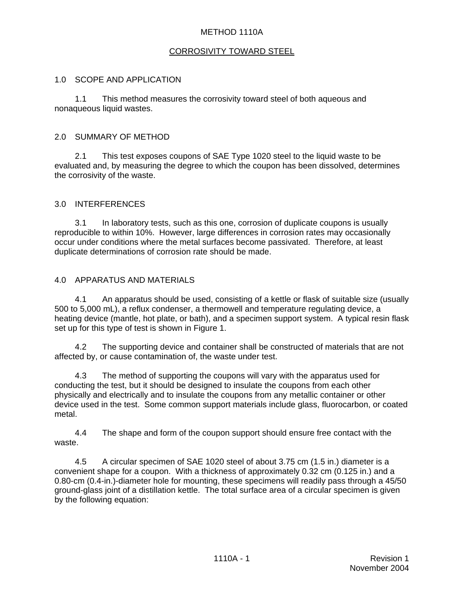# METHOD 1110A

# CORROSIVITY TOWARD STEEL

### 1.0 SCOPE AND APPLICATION

1.1 This method measures the corrosivity toward steel of both aqueous and nonaqueous liquid wastes.

### 2.0 SUMMARY OF METHOD

2.1 This test exposes coupons of SAE Type 1020 steel to the liquid waste to be evaluated and, by measuring the degree to which the coupon has been dissolved, determines the corrosivity of the waste.

# 3.0 INTERFERENCES

3.1 In laboratory tests, such as this one, corrosion of duplicate coupons is usually reproducible to within 10%. However, large differences in corrosion rates may occasionally occur under conditions where the metal surfaces become passivated. Therefore, at least duplicate determinations of corrosion rate should be made.

# 4.0 APPARATUS AND MATERIALS

4.1 An apparatus should be used, consisting of a kettle or flask of suitable size (usually 500 to 5,000 mL), a reflux condenser, a thermowell and temperature regulating device, a heating device (mantle, hot plate, or bath), and a specimen support system. A typical resin flask set up for this type of test is shown in Figure 1.

4.2 The supporting device and container shall be constructed of materials that are not affected by, or cause contamination of, the waste under test.

4.3 The method of supporting the coupons will vary with the apparatus used for conducting the test, but it should be designed to insulate the coupons from each other physically and electrically and to insulate the coupons from any metallic container or other device used in the test. Some common support materials include glass, fluorocarbon, or coated metal.

4.4 The shape and form of the coupon support should ensure free contact with the waste.

4.5 A circular specimen of SAE 1020 steel of about 3.75 cm (1.5 in.) diameter is a convenient shape for a coupon. With a thickness of approximately 0.32 cm (0.125 in.) and a 0.80-cm (0.4-in.)-diameter hole for mounting, these specimens will readily pass through a 45/50 ground-glass joint of a distillation kettle. The total surface area of a circular specimen is given by the following equation: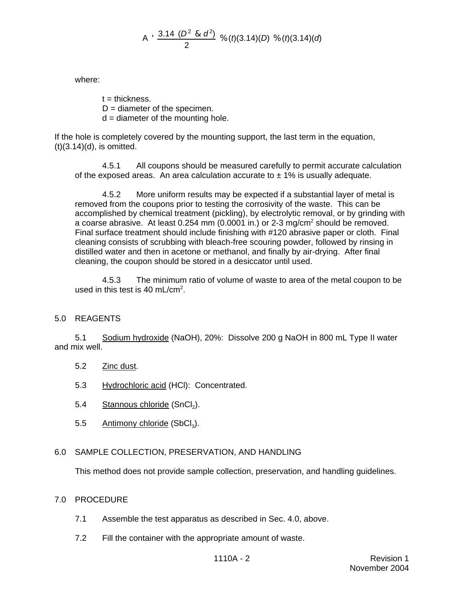A 
$$
\times
$$
  $\frac{3.14 (D^2 \& d^2)}{2}$  %  $(t)(3.14)(D) \times (t)(3.14)(d)$ 

where:

 $t =$ thickness.  $D =$  diameter of the specimen.  $d =$  diameter of the mounting hole.

If the hole is completely covered by the mounting support, the last term in the equation,  $(t)(3.14)(d)$ , is omitted.

4.5.1 All coupons should be measured carefully to permit accurate calculation of the exposed areas. An area calculation accurate to  $\pm$  1% is usually adequate.

4.5.2 More uniform results may be expected if a substantial layer of metal is removed from the coupons prior to testing the corrosivity of the waste. This can be accomplished by chemical treatment (pickling), by electrolytic removal, or by grinding with a coarse abrasive. At least  $0.254$  mm (0.0001 in.) or 2-3 mg/cm<sup>2</sup> should be removed. Final surface treatment should include finishing with #120 abrasive paper or cloth. Final cleaning consists of scrubbing with bleach-free scouring powder, followed by rinsing in distilled water and then in acetone or methanol, and finally by air-drying. After final cleaning, the coupon should be stored in a desiccator until used.

4.5.3 The minimum ratio of volume of waste to area of the metal coupon to be used in this test is 40 mL/cm<sup>2</sup>.

# 5.0 REAGENTS

5.1 Sodium hydroxide (NaOH), 20%: Dissolve 200 g NaOH in 800 mL Type II water and mix well.

- 5.2 Zinc dust.
- 5.3 Hydrochloric acid (HCl): Concentrated.
- 5.4 Stannous chloride (SnCl<sub>2</sub>).
- 5.5 Antimony chloride  $(SbCl<sub>3</sub>)$ .

#### 6.0 SAMPLE COLLECTION, PRESERVATION, AND HANDLING

This method does not provide sample collection, preservation, and handling guidelines.

## 7.0 PROCEDURE

- 7.1 Assemble the test apparatus as described in Sec. 4.0, above.
- 7.2 Fill the container with the appropriate amount of waste.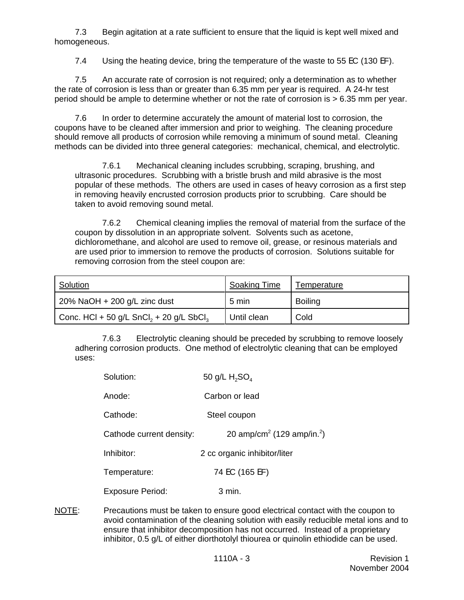7.3 Begin agitation at a rate sufficient to ensure that the liquid is kept well mixed and homogeneous.

7.4 Using the heating device, bring the temperature of the waste to 55 EC (130 EF).

7.5 An accurate rate of corrosion is not required; only a determination as to whether the rate of corrosion is less than or greater than 6.35 mm per year is required. A 24-hr test period should be ample to determine whether or not the rate of corrosion is > 6.35 mm per year.

7.6 In order to determine accurately the amount of material lost to corrosion, the coupons have to be cleaned after immersion and prior to weighing. The cleaning procedure should remove all products of corrosion while removing a minimum of sound metal. Cleaning methods can be divided into three general categories: mechanical, chemical, and electrolytic.

7.6.1 Mechanical cleaning includes scrubbing, scraping, brushing, and ultrasonic procedures. Scrubbing with a bristle brush and mild abrasive is the most popular of these methods. The others are used in cases of heavy corrosion as a first step in removing heavily encrusted corrosion products prior to scrubbing. Care should be taken to avoid removing sound metal.

7.6.2 Chemical cleaning implies the removal of material from the surface of the coupon by dissolution in an appropriate solvent. Solvents such as acetone, dichloromethane, and alcohol are used to remove oil, grease, or resinous materials and are used prior to immersion to remove the products of corrosion. Solutions suitable for removing corrosion from the steel coupon are:

| Solution                                                        | <b>Soaking Time</b> | Temperature    |
|-----------------------------------------------------------------|---------------------|----------------|
| 20% NaOH $+$ 200 g/L zinc dust                                  | 5 min               | <b>Boiling</b> |
| Conc. HCl + 50 g/L SnCl <sub>2</sub> + 20 g/L SbCl <sub>3</sub> | Until clean         | Cold           |

7.6.3 Electrolytic cleaning should be preceded by scrubbing to remove loosely adhering corrosion products. One method of electrolytic cleaning that can be employed uses:

| Solution:                | 50 g/L $H_2SO_4$                                   |
|--------------------------|----------------------------------------------------|
| Anode:                   | Carbon or lead                                     |
| Cathode:                 | Steel coupon                                       |
| Cathode current density: | 20 amp/cm <sup>2</sup> (129 amp/in. <sup>2</sup> ) |
| Inhibitor:               | 2 cc organic inhibitor/liter                       |
| Temperature:             | 74 EC (165 EF)                                     |
| <b>Exposure Period:</b>  | 3 min.                                             |

NOTE: Precautions must be taken to ensure good electrical contact with the coupon to avoid contamination of the cleaning solution with easily reducible metal ions and to ensure that inhibitor decomposition has not occurred. Instead of a proprietary inhibitor, 0.5 g/L of either diorthotolyl thiourea or quinolin ethiodide can be used.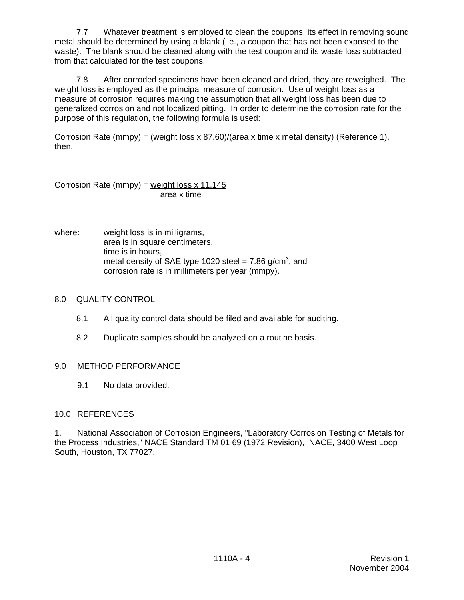7.7 Whatever treatment is employed to clean the coupons, its effect in removing sound metal should be determined by using a blank (i.e., a coupon that has not been exposed to the waste). The blank should be cleaned along with the test coupon and its waste loss subtracted from that calculated for the test coupons.

7.8 After corroded specimens have been cleaned and dried, they are reweighed. The weight loss is employed as the principal measure of corrosion. Use of weight loss as a measure of corrosion requires making the assumption that all weight loss has been due to generalized corrosion and not localized pitting. In order to determine the corrosion rate for the purpose of this regulation, the following formula is used:

Corrosion Rate (mmpy) = (weight loss x 87.60)/(area x time x metal density) (Reference 1), then,

Corrosion Rate (mmpy) = weight loss  $x$  11.145 area x time

where: weight loss is in milligrams, area is in square centimeters, time is in hours, metal density of SAE type 1020 steel = 7.86 g/cm<sup>3</sup>, and corrosion rate is in millimeters per year (mmpy).

# 8.0 QUALITY CONTROL

- 8.1 All quality control data should be filed and available for auditing.
- 8.2 Duplicate samples should be analyzed on a routine basis.

# 9.0 METHOD PERFORMANCE

9.1 No data provided.

# 10.0 REFERENCES

1. National Association of Corrosion Engineers, "Laboratory Corrosion Testing of Metals for the Process Industries," NACE Standard TM 01 69 (1972 Revision), NACE, 3400 West Loop South, Houston, TX 77027.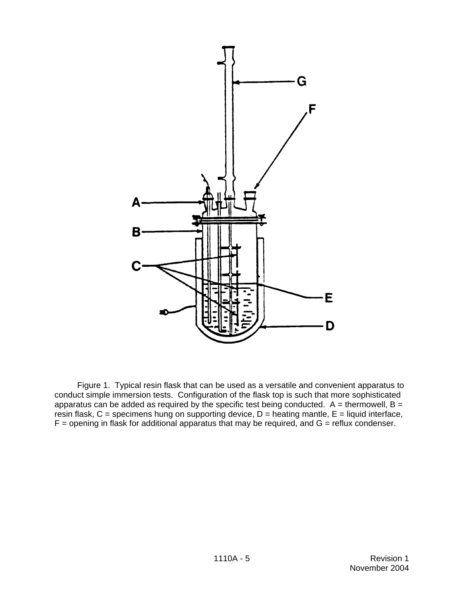

Figure 1. Typical resin flask that can be used as a versatile and convenient apparatus to conduct simple immersion tests. Configuration of the flask top is such that more sophisticated apparatus can be added as required by the specific test being conducted.  $A =$  thermowell, B = resin flask,  $C =$  specimens hung on supporting device,  $D =$  heating mantle,  $E =$  liquid interface,  $F =$  opening in flask for additional apparatus that may be required, and  $G =$  reflux condenser.